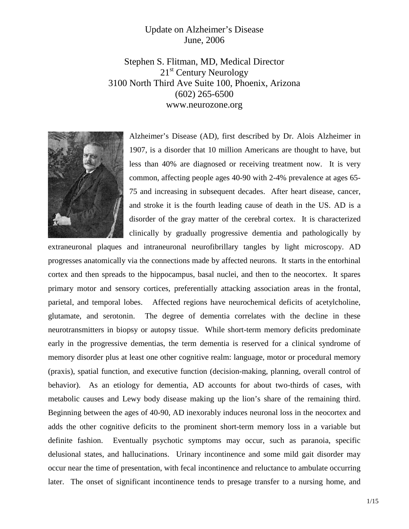## Update on Alzheimer's Disease June, 2006

Stephen S. Flitman, MD, Medical Director 21<sup>st</sup> Century Neurology 3100 North Third Ave Suite 100, Phoenix, Arizona (602) 265-6500 www.neurozone.org



Alzheimer's Disease (AD), first described by Dr. Alois Alzheimer in 1907, is a disorder that 10 million Americans are thought to have, but less than 40% are diagnosed or receiving treatment now. It is very common, affecting people ages 40-90 with 2-4% prevalence at ages 65- 75 and increasing in subsequent decades. After heart disease, cancer, and stroke it is the fourth leading cause of death in the US. AD is a disorder of the gray matter of the cerebral cortex. It is characterized clinically by gradually progressive dementia and pathologically by

extraneuronal plaques and intraneuronal neurofibrillary tangles by light microscopy. AD progresses anatomically via the connections made by affected neurons. It starts in the entorhinal cortex and then spreads to the hippocampus, basal nuclei, and then to the neocortex. It spares primary motor and sensory cortices, preferentially attacking association areas in the frontal, parietal, and temporal lobes. Affected regions have neurochemical deficits of acetylcholine, glutamate, and serotonin. The degree of dementia correlates with the decline in these neurotransmitters in biopsy or autopsy tissue. While short-term memory deficits predominate early in the progressive dementias, the term dementia is reserved for a clinical syndrome of memory disorder plus at least one other cognitive realm: language, motor or procedural memory (praxis), spatial function, and executive function (decision-making, planning, overall control of behavior). As an etiology for dementia, AD accounts for about two-thirds of cases, with metabolic causes and Lewy body disease making up the lion's share of the remaining third. Beginning between the ages of 40-90, AD inexorably induces neuronal loss in the neocortex and adds the other cognitive deficits to the prominent short-term memory loss in a variable but definite fashion. Eventually psychotic symptoms may occur, such as paranoia, specific delusional states, and hallucinations. Urinary incontinence and some mild gait disorder may occur near the time of presentation, with fecal incontinence and reluctance to ambulate occurring later. The onset of significant incontinence tends to presage transfer to a nursing home, and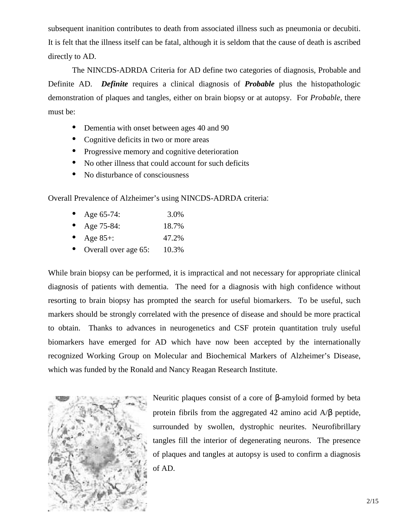subsequent inanition contributes to death from associated illness such as pneumonia or decubiti. It is felt that the illness itself can be fatal, although it is seldom that the cause of death is ascribed directly to AD.

The NINCDS-ADRDA Criteria for AD define two categories of diagnosis, Probable and Definite AD. *Definite* requires a clinical diagnosis of *Probable* plus the histopathologic demonstration of plaques and tangles, either on brain biopsy or at autopsy. For *Probable,* there must be:

- Dementia with onset between ages 40 and 90
- Cognitive deficits in two or more areas
- Progressive memory and cognitive deterioration
- No other illness that could account for such deficits
- No disturbance of consciousness

Overall Prevalence of Alzheimer's using NINCDS-ADRDA criteria:

- Age 65-74: 3.0%
- Age 75-84: 18.7%
- Age 85+: 47.2%
- Overall over age 65: 10.3%

While brain biopsy can be performed, it is impractical and not necessary for appropriate clinical diagnosis of patients with dementia. The need for a diagnosis with high confidence without resorting to brain biopsy has prompted the search for useful biomarkers. To be useful, such markers should be strongly correlated with the presence of disease and should be more practical to obtain. Thanks to advances in neurogenetics and CSF protein quantitation truly useful biomarkers have emerged for AD which have now been accepted by the internationally recognized Working Group on Molecular and Biochemical Markers of Alzheimer's Disease, which was funded by the Ronald and Nancy Reagan Research Institute.



Neuritic plaques consist of a core of β-amyloid formed by beta protein fibrils from the aggregated 42 amino acid A/β peptide, surrounded by swollen, dystrophic neurites. Neurofibrillary tangles fill the interior of degenerating neurons. The presence of plaques and tangles at autopsy is used to confirm a diagnosis of AD.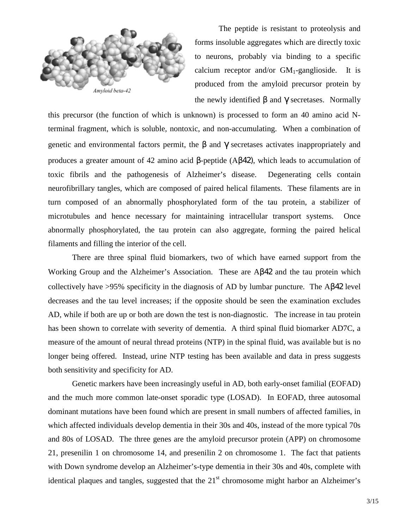

The peptide is resistant to proteolysis and forms insoluble aggregates which are directly toxic to neurons, probably via binding to a specific calcium receptor and/or  $GM_1$ -ganglioside. It is produced from the amyloid precursor protein by the newly identified  $β$  and  $γ$  secretases. Normally

this precursor (the function of which is unknown) is processed to form an 40 amino acid Nterminal fragment, which is soluble, nontoxic, and non-accumulating. When a combination of genetic and environmental factors permit, the  $\beta$  and  $\gamma$  secretases activates inappropriately and produces a greater amount of 42 amino acid β-peptide (Aβ42), which leads to accumulation of toxic fibrils and the pathogenesis of Alzheimer's disease. Degenerating cells contain neurofibrillary tangles, which are composed of paired helical filaments. These filaments are in turn composed of an abnormally phosphorylated form of the tau protein, a stabilizer of microtubules and hence necessary for maintaining intracellular transport systems. Once abnormally phosphorylated, the tau protein can also aggregate, forming the paired helical filaments and filling the interior of the cell.

There are three spinal fluid biomarkers, two of which have earned support from the Working Group and the Alzheimer's Association. These are Aβ42 and the tau protein which collectively have >95% specificity in the diagnosis of AD by lumbar puncture. The Aβ42 level decreases and the tau level increases; if the opposite should be seen the examination excludes AD, while if both are up or both are down the test is non-diagnostic. The increase in tau protein has been shown to correlate with severity of dementia. A third spinal fluid biomarker AD7C, a measure of the amount of neural thread proteins (NTP) in the spinal fluid, was available but is no longer being offered. Instead, urine NTP testing has been available and data in press suggests both sensitivity and specificity for AD.

Genetic markers have been increasingly useful in AD, both early-onset familial (EOFAD) and the much more common late-onset sporadic type (LOSAD). In EOFAD, three autosomal dominant mutations have been found which are present in small numbers of affected families, in which affected individuals develop dementia in their 30s and 40s, instead of the more typical 70s and 80s of LOSAD. The three genes are the amyloid precursor protein (APP) on chromosome 21, presenilin 1 on chromosome 14, and presenilin 2 on chromosome 1. The fact that patients with Down syndrome develop an Alzheimer's-type dementia in their 30s and 40s, complete with identical plaques and tangles, suggested that the 21<sup>st</sup> chromosome might harbor an Alzheimer's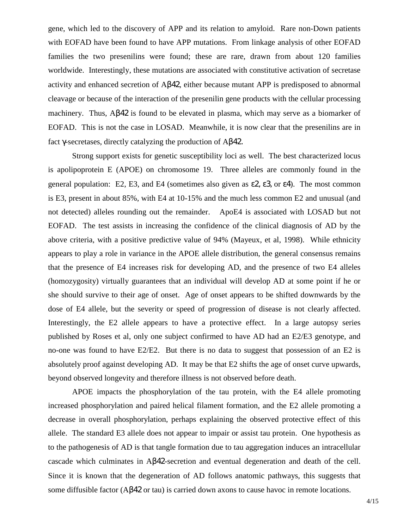gene, which led to the discovery of APP and its relation to amyloid. Rare non-Down patients with EOFAD have been found to have APP mutations. From linkage analysis of other EOFAD families the two presenilins were found; these are rare, drawn from about 120 families worldwide. Interestingly, these mutations are associated with constitutive activation of secretase activity and enhanced secretion of Aβ42, either because mutant APP is predisposed to abnormal cleavage or because of the interaction of the presenilin gene products with the cellular processing machinery. Thus, Aβ42 is found to be elevated in plasma, which may serve as a biomarker of EOFAD. This is not the case in LOSAD. Meanwhile, it is now clear that the presenilins are in fact γ-secretases, directly catalyzing the production of Aβ42.

Strong support exists for genetic susceptibility loci as well. The best characterized locus is apolipoprotein E (APOE) on chromosome 19. Three alleles are commonly found in the general population: E2, E3, and E4 (sometimes also given as  $\epsilon$ 2,  $\epsilon$ 3, or  $\epsilon$ 4). The most common is E3, present in about 85%, with E4 at 10-15% and the much less common E2 and unusual (and not detected) alleles rounding out the remainder. ApoE4 is associated with LOSAD but not EOFAD. The test assists in increasing the confidence of the clinical diagnosis of AD by the above criteria, with a positive predictive value of 94% (Mayeux, et al, 1998). While ethnicity appears to play a role in variance in the APOE allele distribution, the general consensus remains that the presence of E4 increases risk for developing AD, and the presence of two E4 alleles (homozygosity) virtually guarantees that an individual will develop AD at some point if he or she should survive to their age of onset. Age of onset appears to be shifted downwards by the dose of E4 allele, but the severity or speed of progression of disease is not clearly affected. Interestingly, the E2 allele appears to have a protective effect. In a large autopsy series published by Roses et al, only one subject confirmed to have AD had an E2/E3 genotype, and no-one was found to have E2/E2. But there is no data to suggest that possession of an E2 is absolutely proof against developing AD. It may be that E2 shifts the age of onset curve upwards, beyond observed longevity and therefore illness is not observed before death.

APOE impacts the phosphorylation of the tau protein, with the E4 allele promoting increased phosphorylation and paired helical filament formation, and the E2 allele promoting a decrease in overall phosphorylation, perhaps explaining the observed protective effect of this allele. The standard E3 allele does not appear to impair or assist tau protein. One hypothesis as to the pathogenesis of AD is that tangle formation due to tau aggregation induces an intracellular cascade which culminates in Aβ42-secretion and eventual degeneration and death of the cell. Since it is known that the degeneration of AD follows anatomic pathways, this suggests that some diffusible factor (Aβ42 or tau) is carried down axons to cause havoc in remote locations.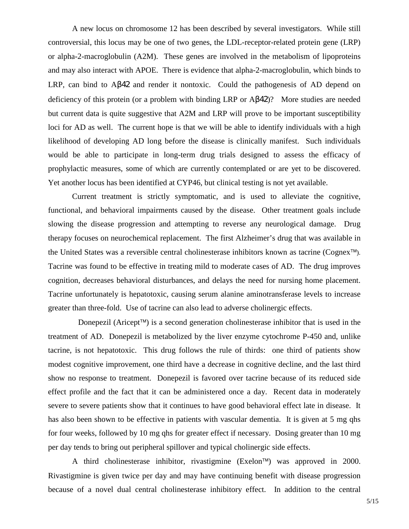A new locus on chromosome 12 has been described by several investigators. While still controversial, this locus may be one of two genes, the LDL-receptor-related protein gene (LRP) or alpha-2-macroglobulin (A2M). These genes are involved in the metabolism of lipoproteins and may also interact with APOE. There is evidence that alpha-2-macroglobulin, which binds to LRP, can bind to Aβ42 and render it nontoxic. Could the pathogenesis of AD depend on deficiency of this protein (or a problem with binding LRP or Aβ42)? More studies are needed but current data is quite suggestive that A2M and LRP will prove to be important susceptibility loci for AD as well. The current hope is that we will be able to identify individuals with a high likelihood of developing AD long before the disease is clinically manifest. Such individuals would be able to participate in long-term drug trials designed to assess the efficacy of prophylactic measures, some of which are currently contemplated or are yet to be discovered. Yet another locus has been identified at CYP46, but clinical testing is not yet available.

Current treatment is strictly symptomatic, and is used to alleviate the cognitive, functional, and behavioral impairments caused by the disease. Other treatment goals include slowing the disease progression and attempting to reverse any neurological damage. Drug therapy focuses on neurochemical replacement. The first Alzheimer's drug that was available in the United States was a reversible central cholinesterase inhibitors known as tacrine (Cognex<sup> $\text{TM}$ </sup>). Tacrine was found to be effective in treating mild to moderate cases of AD. The drug improves cognition, decreases behavioral disturbances, and delays the need for nursing home placement. Tacrine unfortunately is hepatotoxic, causing serum alanine aminotransferase levels to increase greater than three-fold. Use of tacrine can also lead to adverse cholinergic effects.

Donepezil (Aricept<sup> $\mathsf{TM}$ </sup>) is a second generation cholinesterase inhibitor that is used in the treatment of AD. Donepezil is metabolized by the liver enzyme cytochrome P-450 and, unlike tacrine, is not hepatotoxic. This drug follows the rule of thirds: one third of patients show modest cognitive improvement, one third have a decrease in cognitive decline, and the last third show no response to treatment. Donepezil is favored over tacrine because of its reduced side effect profile and the fact that it can be administered once a day. Recent data in moderately severe to severe patients show that it continues to have good behavioral effect late in disease. It has also been shown to be effective in patients with vascular dementia. It is given at 5 mg qhs for four weeks, followed by 10 mg qhs for greater effect if necessary. Dosing greater than 10 mg per day tends to bring out peripheral spillover and typical cholinergic side effects.

A third cholinesterase inhibitor, rivastigmine (Exelon<sup> $TM$ </sup>) was approved in 2000. Rivastigmine is given twice per day and may have continuing benefit with disease progression because of a novel dual central cholinesterase inhibitory effect. In addition to the central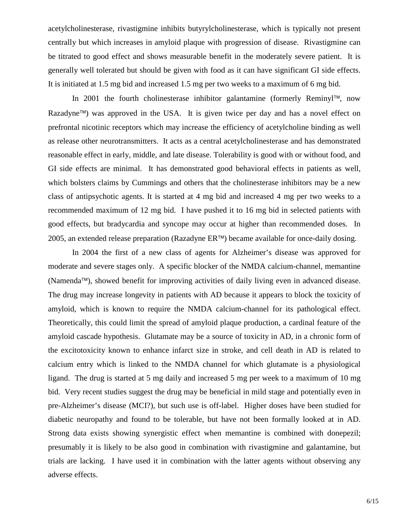acetylcholinesterase, rivastigmine inhibits butyrylcholinesterase, which is typically not present centrally but which increases in amyloid plaque with progression of disease. Rivastigmine can be titrated to good effect and shows measurable benefit in the moderately severe patient. It is generally well tolerated but should be given with food as it can have significant GI side effects. It is initiated at 1.5 mg bid and increased 1.5 mg per two weeks to a maximum of 6 mg bid.

In 2001 the fourth cholinesterase inhibitor galantamine (formerly Reminyl<sup>TM</sup>, now Razadyne<sup> $\text{TM}$ </sup>) was approved in the USA. It is given twice per day and has a novel effect on prefrontal nicotinic receptors which may increase the efficiency of acetylcholine binding as well as release other neurotransmitters. It acts as a central acetylcholinesterase and has demonstrated reasonable effect in early, middle, and late disease. Tolerability is good with or without food, and GI side effects are minimal. It has demonstrated good behavioral effects in patients as well, which bolsters claims by Cummings and others that the cholinesterase inhibitors may be a new class of antipsychotic agents. It is started at 4 mg bid and increased 4 mg per two weeks to a recommended maximum of 12 mg bid. I have pushed it to 16 mg bid in selected patients with good effects, but bradycardia and syncope may occur at higher than recommended doses. In 2005, an extended release preparation (Razadyne  $ER^{TM}$ ) became available for once-daily dosing.

In 2004 the first of a new class of agents for Alzheimer's disease was approved for moderate and severe stages only. A specific blocker of the NMDA calcium-channel, memantine (Namenda<sup> $\text{TM}$ </sup>), showed benefit for improving activities of daily living even in advanced disease. The drug may increase longevity in patients with AD because it appears to block the toxicity of amyloid, which is known to require the NMDA calcium-channel for its pathological effect. Theoretically, this could limit the spread of amyloid plaque production, a cardinal feature of the amyloid cascade hypothesis. Glutamate may be a source of toxicity in AD, in a chronic form of the excitotoxicity known to enhance infarct size in stroke, and cell death in AD is related to calcium entry which is linked to the NMDA channel for which glutamate is a physiological ligand. The drug is started at 5 mg daily and increased 5 mg per week to a maximum of 10 mg bid. Very recent studies suggest the drug may be beneficial in mild stage and potentially even in pre-Alzheimer's disease (MCI?), but such use is off-label. Higher doses have been studied for diabetic neuropathy and found to be tolerable, but have not been formally looked at in AD. Strong data exists showing synergistic effect when memantine is combined with donepezil; presumably it is likely to be also good in combination with rivastigmine and galantamine, but trials are lacking. I have used it in combination with the latter agents without observing any adverse effects.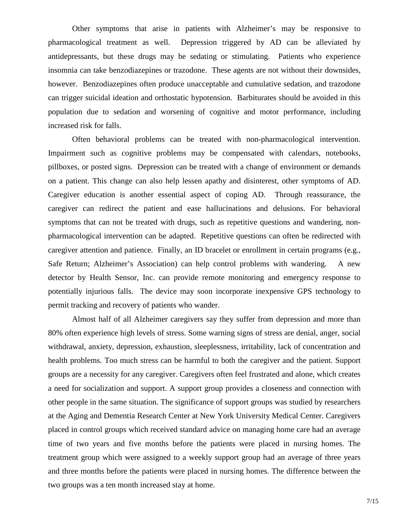Other symptoms that arise in patients with Alzheimer's may be responsive to pharmacological treatment as well. Depression triggered by AD can be alleviated by antidepressants, but these drugs may be sedating or stimulating. Patients who experience insomnia can take benzodiazepines or trazodone. These agents are not without their downsides, however. Benzodiazepines often produce unacceptable and cumulative sedation, and trazodone can trigger suicidal ideation and orthostatic hypotension. Barbiturates should be avoided in this population due to sedation and worsening of cognitive and motor performance, including increased risk for falls.

Often behavioral problems can be treated with non-pharmacological intervention. Impairment such as cognitive problems may be compensated with calendars, notebooks, pillboxes, or posted signs. Depression can be treated with a change of environment or demands on a patient. This change can also help lessen apathy and disinterest, other symptoms of AD. Caregiver education is another essential aspect of coping AD. Through reassurance, the caregiver can redirect the patient and ease hallucinations and delusions. For behavioral symptoms that can not be treated with drugs, such as repetitive questions and wandering, nonpharmacological intervention can be adapted. Repetitive questions can often be redirected with caregiver attention and patience. Finally, an ID bracelet or enrollment in certain programs (e.g., Safe Return; Alzheimer's Association) can help control problems with wandering. A new detector by Health Sensor, Inc. can provide remote monitoring and emergency response to potentially injurious falls. The device may soon incorporate inexpensive GPS technology to permit tracking and recovery of patients who wander.

Almost half of all Alzheimer caregivers say they suffer from depression and more than 80% often experience high levels of stress. Some warning signs of stress are denial, anger, social withdrawal, anxiety, depression, exhaustion, sleeplessness, irritability, lack of concentration and health problems. Too much stress can be harmful to both the caregiver and the patient. Support groups are a necessity for any caregiver. Caregivers often feel frustrated and alone, which creates a need for socialization and support. A support group provides a closeness and connection with other people in the same situation. The significance of support groups was studied by researchers at the Aging and Dementia Research Center at New York University Medical Center. Caregivers placed in control groups which received standard advice on managing home care had an average time of two years and five months before the patients were placed in nursing homes. The treatment group which were assigned to a weekly support group had an average of three years and three months before the patients were placed in nursing homes. The difference between the two groups was a ten month increased stay at home.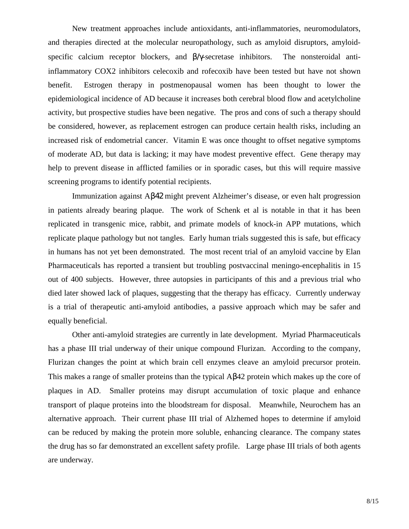New treatment approaches include antioxidants, anti-inflammatories, neuromodulators, and therapies directed at the molecular neuropathology, such as amyloid disruptors, amyloidspecific calcium receptor blockers, and β/γ-secretase inhibitors. The nonsteroidal antiinflammatory COX2 inhibitors celecoxib and rofecoxib have been tested but have not shown benefit. Estrogen therapy in postmenopausal women has been thought to lower the epidemiological incidence of AD because it increases both cerebral blood flow and acetylcholine activity, but prospective studies have been negative. The pros and cons of such a therapy should be considered, however, as replacement estrogen can produce certain health risks, including an increased risk of endometrial cancer. Vitamin E was once thought to offset negative symptoms of moderate AD, but data is lacking; it may have modest preventive effect. Gene therapy may help to prevent disease in afflicted families or in sporadic cases, but this will require massive screening programs to identify potential recipients.

Immunization against Aβ42 might prevent Alzheimer's disease, or even halt progression in patients already bearing plaque. The work of Schenk et al is notable in that it has been replicated in transgenic mice, rabbit, and primate models of knock-in APP mutations, which replicate plaque pathology but not tangles. Early human trials suggested this is safe, but efficacy in humans has not yet been demonstrated. The most recent trial of an amyloid vaccine by Elan Pharmaceuticals has reported a transient but troubling postvaccinal meningo-encephalitis in 15 out of 400 subjects. However, three autopsies in participants of this and a previous trial who died later showed lack of plaques, suggesting that the therapy has efficacy. Currently underway is a trial of therapeutic anti-amyloid antibodies, a passive approach which may be safer and equally beneficial.

Other anti-amyloid strategies are currently in late development. Myriad Pharmaceuticals has a phase III trial underway of their unique compound Flurizan. According to the company, Flurizan changes the point at which brain cell enzymes cleave an amyloid precursor protein. This makes a range of smaller proteins than the typical Aβ42 protein which makes up the core of plaques in AD. Smaller proteins may disrupt accumulation of toxic plaque and enhance transport of plaque proteins into the bloodstream for disposal. Meanwhile, Neurochem has an alternative approach. Their current phase III trial of Alzhemed hopes to determine if amyloid can be reduced by making the protein more soluble, enhancing clearance. The company states the drug has so far demonstrated an excellent safety profile. Large phase III trials of both agents are underway.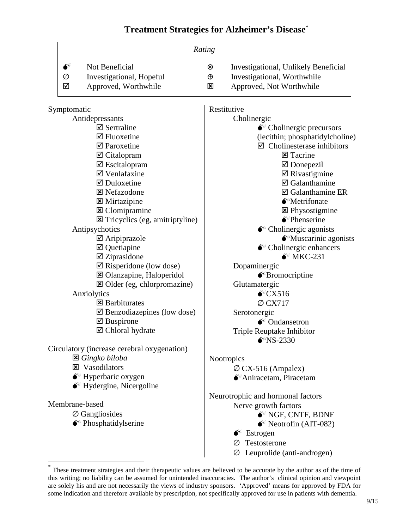# **Treatment Strategies for Alzheimer's Disease**\*

|                |                                                      | Rating         |                                              |  |
|----------------|------------------------------------------------------|----------------|----------------------------------------------|--|
| $\mathbf{S}^*$ | Not Beneficial                                       | $^{\circledR}$ | Investigational, Unlikely Beneficial         |  |
| Ø              | Investigational, Hopeful                             | $\oplus$       | Investigational, Worthwhile                  |  |
| ☑              | Approved, Worthwhile                                 | ⊠              | Approved, Not Worthwhile                     |  |
|                | Symptomatic                                          |                | Restitutive                                  |  |
|                | Antidepressants                                      | Cholinergic    |                                              |  |
|                | $\boxtimes$ Sertraline                               |                | $\bullet$ Cholinergic precursors             |  |
|                | $\boxtimes$ Fluoxetine                               |                | (lecithin; phosphatidylcholine)              |  |
|                | $\boxtimes$ Paroxetine                               |                | $\boxtimes$ Cholinesterase inhibitors        |  |
|                | $\boxtimes$ Citalopram                               |                | $\Xi$ Tacrine                                |  |
|                | $\boxtimes$ Escitalopram                             |                | $\boxtimes$ Donepezil                        |  |
|                | $\boxtimes$ Venlafaxine                              |                | $\boxtimes$ Rivastigmine                     |  |
|                | $\boxtimes$ Duloxetine                               |                | $\boxtimes$ Galanthamine                     |  |
|                | <b>⊠</b> Nefazodone                                  |                | ☑ Galanthamine ER                            |  |
|                | $\boxtimes$ Mirtazipine                              |                | $\bullet$ <sup>*</sup> Metrifonate           |  |
|                | <b>図</b> Clomipramine                                |                | <b>E</b> Physostigmine                       |  |
|                | $\Xi$ Tricyclics (eg, amitriptyline)                 |                | $\bullet$ <sup>*</sup> Phenserine            |  |
|                | Antipsychotics                                       |                | $\bullet^*$ Cholinergic agonists             |  |
|                | $\boxtimes$ Aripiprazole                             |                | $\bullet$ Muscarinic agonists                |  |
|                | $\boxtimes$ Quetiapine                               |                | $\bullet^*$ Cholinergic enhancers            |  |
|                | $\boxtimes$ Ziprasidone                              |                | $\bullet^*$ MKC-231                          |  |
|                | $\boxtimes$ Risperidone (low dose)                   |                | Dopaminergic                                 |  |
|                | <b>図</b> Olanzapine, Haloperidol                     |                | $\bullet$ <sup>*</sup> Bromocriptine         |  |
|                | ⊠ Older (eg, chlorpromazine)                         |                | Glutamatergic                                |  |
|                | Anxiolytics                                          |                | $\bullet$ CX516                              |  |
|                | $\boxtimes$ Barbiturates                             |                | $\varnothing$ CX717                          |  |
|                | $\boxtimes$ Benzodiazepines (low dose)               |                | Serotonergic<br>$\bullet^*$ Ondansetron      |  |
|                | $\boxtimes$ Buspirone<br>$\boxtimes$ Chloral hydrate |                |                                              |  |
|                |                                                      |                | Triple Reuptake Inhibitor                    |  |
|                | Circulatory (increase cerebral oxygenation)          |                | $\bullet$ NS-2330                            |  |
|                | <b>⊠</b> Gingko biloba                               |                | <b>Nootropics</b>                            |  |
|                | <b>E</b> Vasodilators                                |                | $\varnothing$ CX-516 (Ampalex)               |  |
|                | $\bullet^*$ Hyperbaric oxygen                        |                | <sup><sup>★</sup>Aniracetam, Piracetam</sup> |  |
|                | $\bullet^*$ Hydergine, Nicergoline                   |                |                                              |  |
|                |                                                      |                | Neurotrophic and hormonal factors            |  |
| Membrane-based |                                                      |                | Nerve growth factors                         |  |
|                | $\varnothing$ Gangliosides                           |                | $\bullet^*$ NGF, CNTF, BDNF                  |  |
|                | $\bullet$ <sup>*</sup> Phosphatidylserine            |                | $\bullet^*$ Neotrofin (AIT-082)              |  |
|                |                                                      |                | $\bullet^*$ Estrogen                         |  |
|                |                                                      |                | Testosterone<br>Ø                            |  |
|                |                                                      |                | $\varnothing$ Leuprolide (anti-androgen)     |  |

 \* These treatment strategies and their therapeutic values are believed to be accurate by the author as of the time of this writing; no liability can be assumed for unintended inaccuracies. The author's clinical opinion and viewpoint are solely his and are not necessarily the views of industry sponsors. 'Approved' means for approved by FDA for some indication and therefore available by prescription, not specifically approved for use in patients with dementia.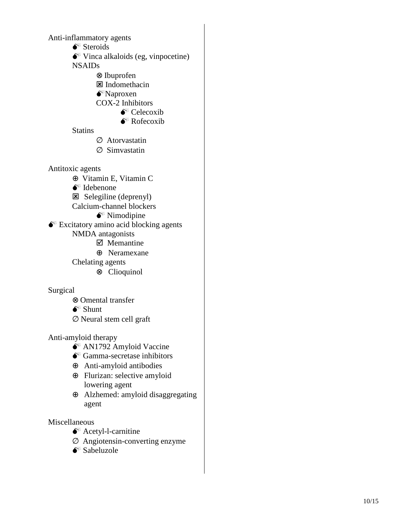- 
- Anti-inflammatory agents<br>
S<sup>\*</sup> Steroids<br>
S<sup>\*</sup> Vinca alkaloids (eg, vinpocetine)

NSAIDs

- ⊗ Ibuprofen<br>⊠ Indomethacin
	-
- $\bullet^*$ Naproxen
- COX-2 Inhibitors
	- $\bullet^*$  Celecoxib
	- $\bullet^*$  Rofecoxib

**Statins** 

- ∅ Atorvastatin
- ∅ Simvastatin

Antitoxic agents

- ⊕ Vitamin E, Vitamin C<br>
 Idebenone<br>
⊠ Selegiline (deprenyl)
- 
- 
- Calcium-channel blockers
	- $\bullet^*$  Nimodipine

 $\bullet^*$  Excitatory amino acid blocking agents

- NMDA antagonists<br> $\boxtimes$  Memantine
	- ⊕ Neramexane

Chelating agents

⊗ Clioquinol

### Surgical

- <sup>⊗</sup> Omental transfer Shunt
- 
- ∅ Neural stem cell graft

- Anti-amyloid therapy<br>  $\bullet^*$  AN1792 Amyloid Vaccine<br>  $\bullet^*$  Gamma-secretase inhibitors
	-
	- ⊕ Anti-amyloid antibodies
	- ⊕ Flurizan: selective amyloid lowering agent
	- ⊕ Alzhemed: amyloid disaggregating agent

- Miscellaneous<br>  $\bullet^*$  Acetyl-l-carnitine
	- $\oslash$  Angiotensin-converting enzyme
	-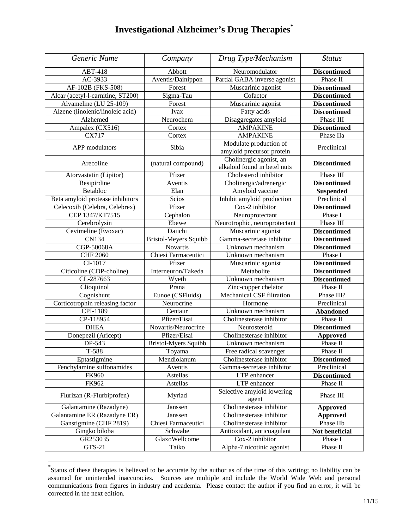# **Investigational Alzheimer's Drug Therapies\***

| Generic Name                      | Company                         | Drug Type/Mechanism                          | <b>Status</b>       |
|-----------------------------------|---------------------------------|----------------------------------------------|---------------------|
| <b>ABT-418</b>                    | Abbott                          | Neuromodulator                               | <b>Discontinued</b> |
| AC-3933                           | Aventis/Dainippon               | Partial GABA inverse agonist                 | Phase II            |
| AF-102B (FKS-508)                 | Forest                          | Muscarinic agonist                           | <b>Discontinued</b> |
| Alcar (acetyl-l-carnitine, ST200) | Sigma-Tau                       | Cofactor                                     | <b>Discontinued</b> |
| Alvameline (LU 25-109)            | Forest                          | $\overline{\text{M}}$ uscarinic agonist      | <b>Discontinued</b> |
| Alzene (linolenic/linoleic acid)  | Ivax                            | Fatty acids                                  | <b>Discontinued</b> |
| Alzhemed                          | Neurochem                       | Disaggregates amyloid                        | Phase III           |
| Ampalex (CX516)                   | Cortex                          | <b>AMPAKINE</b>                              | <b>Discontinued</b> |
| CX717                             | Cortex                          | <b>AMPAKINE</b>                              | Phase IIa           |
|                                   |                                 | Modulate production of                       |                     |
| APP modulators                    | Sibia                           | amyloid precursor protein                    | Preclinical         |
| Arecoline                         |                                 | Cholinergic agonist, an                      |                     |
|                                   | (natural compound)              | alkaloid found in betel nuts                 | <b>Discontinued</b> |
| Atorvastatin (Lipitor)            | Pfizer                          | Cholesterol inhibitor                        | Phase III           |
| Besipirdine                       | Aventis                         | Cholinergic/adrenergic                       | <b>Discontinued</b> |
| Betabloc                          | Elan                            | Amyloid vaccine                              | <b>Suspended</b>    |
| Beta amyloid protease inhibitors  | Scios                           | Inhibit amyloid production                   | Preclinical         |
| Celecoxib (Celebra, Celebrex)     | Pfizer                          | Cox-2 inhibitor                              | <b>Discontinued</b> |
| CEP 1347/KT7515                   | Cephalon                        | Neuroprotectant                              | Phase I             |
| Cerebrolysin                      | Ebewe                           | Neurotrophic, neuroprotectant                | Phase III           |
| Cevimeline (Evoxac)               | Daiichi                         | Muscarinic agonist                           | <b>Discontinued</b> |
| <b>CN134</b>                      | Bristol-Meyers Squibb           | Gamma-secretase inhibitor                    | <b>Discontinued</b> |
| CGP-50068A                        | Novartis                        | Unknown mechanism                            | <b>Discontinued</b> |
| <b>CHF 2060</b>                   | Chiesi Farmaceutici             | Unknown mechanism                            | Phase I             |
| CI-1017                           | Pfizer                          | Muscarinic agonist                           | <b>Discontinued</b> |
| Citicoline (CDP-choline)          | Interneuron/Takeda              | Metabolite                                   | <b>Discontinued</b> |
| CL-287663                         | Wyeth                           | Unknown mechanism                            | <b>Discontinued</b> |
| Clioquinol                        | Prana                           | Zinc-copper chelator                         | Phase II            |
| Cognishunt                        | Eunoe (CSFluids)                | Mechanical CSF filtration                    | Phase III?          |
| Corticotrophin releasing factor   | Neurocrine                      | Hormone                                      | Preclinical         |
| CPI-1189                          | Centaur                         | Unknown mechanism                            | <b>Abandoned</b>    |
| CP-118954                         | Pfizer/Eisai                    | Cholinesterase inhibitor                     | Phase II            |
| <b>DHEA</b>                       | Novartis/Neurocrine             | Neurosteroid                                 | <b>Discontinued</b> |
| Donepezil (Aricept)               | Pfizer/Eisai                    | Cholinesterase inhibitor                     | <b>Approved</b>     |
| DP-543                            | <b>Bristol-Myers Squibb</b>     | Unknown mechanism                            | Phase II            |
| T-588                             | $\overline{\phantom{a}}$ Toyama | Free radical scavenger                       | Phase II            |
| Eptastigmine                      | Mendiolanum                     | Cholinesterase inhibitor                     | <b>Discontinued</b> |
| Fenchylamine sulfonamides         | Aventis                         | Gamma-secretase inhibitor                    | Preclinical         |
| <b>FK960</b>                      | Astellas                        | LTP enhancer                                 | <b>Discontinued</b> |
| FK962                             | <b>Astellas</b>                 | LTP enhancer                                 | Phase II            |
| Flurizan (R-Flurbiprofen)         | Myriad                          | Selective amyloid lowering<br>agent          | Phase III           |
| Galantamine (Razadyne)            | Janssen                         | Cholinesterase inhibitor                     | <b>Approved</b>     |
| Galantamine ER (Razadyne ER)      | Janssen                         | Cholinesterase inhibitor                     | <b>Approved</b>     |
| Ganstigmine (CHF 2819)            | Chiesi Farmaceutici             | Cholinesterase inhibitor                     | Phase IIb           |
| Gingko biloba                     | Schwabe                         | Antioxidant, anticoagulant                   | Not beneficial      |
|                                   |                                 |                                              |                     |
| GR253035<br>GTS-21                | GlaxoWellcome<br>Taiko          | Cox-2 inhibitor<br>Alpha-7 nicotinic agonist | Phase I<br>Phase II |

<sup>\*</sup> Status of these therapies is believed to be accurate by the author as of the time of this writing; no liability can be assumed for unintended inaccuracies. Sources are multiple and include the World Wide Web and personal communications from figures in industry and academia. Please contact the author if you find an error, it will be corrected in the next edition.

1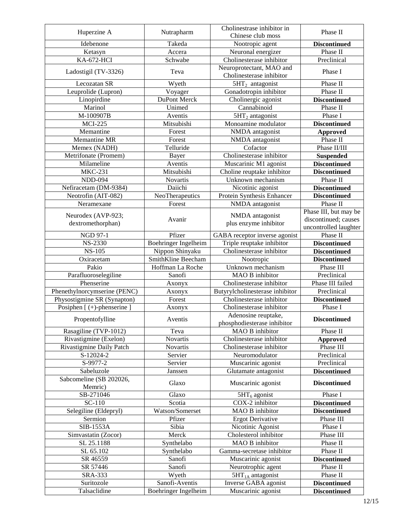| Huperzine A                        | Nutrapharm           | Cholinestrase inhibitor in                           | Phase II              |
|------------------------------------|----------------------|------------------------------------------------------|-----------------------|
|                                    |                      | Chinese club moss                                    |                       |
| Idebenone                          | Takeda               | Nootropic agent                                      | <b>Discontinued</b>   |
| Ketasyn                            | Accera               | Neuronal energizer                                   | Phase II              |
| <b>KA-672-HCI</b>                  | Schwabe              | Cholinesterase inhibitor                             | Preclinical           |
| Ladostigil (TV-3326)               | Teva                 | Neuroprotectant, MAO and<br>Cholinesterase inhibitor | Phase I               |
| Lecozatan SR                       | Wyeth                | $5HT_2$ antagonist                                   | Phase II              |
| Leuprolide (Lupron)                | Voyager              | Gonadotropin inhibitor                               | Phase II              |
| Linopirdine                        | DuPont Merck         | Cholinergic agonist                                  | <b>Discontinued</b>   |
| Marinol                            | Unimed               | Cannabinoid                                          | Phase II              |
| M-100907B                          | Aventis              | $5HT2$ antagonist                                    | Phase I               |
| <b>MCI-225</b>                     | Mitsubishi           | Monoamine modulator                                  | <b>Discontinued</b>   |
| Memantine                          | Forest               | NMDA antagonist                                      | <b>Approved</b>       |
| Memantine MR                       | Forest               | NMDA antagonist                                      | Phase II              |
| Memex (NADH)                       | Telluride            | Cofactor                                             | Phase II/III          |
| Metrifonate (Promem)               | Bayer                | Cholinesterase inhibitor                             | <b>Suspended</b>      |
| Milameline                         | Aventis              | Muscarinic M1 agonist                                | <b>Discontinued</b>   |
| <b>MKC-231</b>                     | Mitsubishi           | Choline reuptake inhibitor                           | <b>Discontinued</b>   |
| <b>NDD-094</b>                     | <b>Novartis</b>      | Unknown mechanism                                    | Phase II              |
| Nefiracetam (DM-9384)              | Daiichi              | Nicotinic agonist                                    | <b>Discontinued</b>   |
| Neotrofin (AIT-082)                | NeoTherapeutics      | Protein Synthesis Enhancer                           | <b>Discontinued</b>   |
| Neramexane                         | Forest               | NMDA antagonist                                      | Phase II              |
|                                    |                      |                                                      | Phase III, but may be |
| Neurodex (AVP-923;                 | Avanir               | NMDA antagonist                                      | discontinued; causes  |
| dextromethorphan)                  |                      | plus enzyme inhibitor                                | uncontrolled laughter |
| <b>NGD 97-1</b>                    | Pfizer               | GABA receptor inverse agonist                        | Phase II              |
| NS-2330                            | Boehringer Ingelheim | Triple reuptake inhibitor                            | <b>Discontinued</b>   |
| <b>NS-105</b>                      | Nippon Shinyaku      | Cholinesterase inhibitor                             | <b>Discontinued</b>   |
| Oxiracetam                         | SmithKline Beecham   | Nootropic                                            | <b>Discontinued</b>   |
| Pakio                              | Hoffman La Roche     | Unknown mechanism                                    | Phase III             |
| Parafluoroselegiline               | Sanofi               | MAO B inhibitor                                      | Preclinical           |
| Phenserine                         | Axonyx               | Cholinesterase inhibitor                             | Phase III failed      |
| Phenethylnorcymserine (PENC)       | Axonyx               | Butyrylcholinesterase inhibitor                      | Preclinical           |
| Physostigmine SR (Synapton)        | Forest               | Cholinesterase inhibitor                             | <b>Discontinued</b>   |
| Posiphen [ (+)-phenserine ]        | Axonyx               | Cholinesterase inhibitor                             | Phase I               |
|                                    |                      | Adenosine reuptake,                                  |                       |
| Propentofylline                    | Aventis              | phosphodiesterase inhibitor                          | <b>Discontinued</b>   |
| Rasagiline (TVP-1012)              | Teva                 | MAO B inhibitor                                      | Phase II              |
| Rivastigmine (Exelon)              | <b>Novartis</b>      | Cholinesterase inhibitor                             | <b>Approved</b>       |
| Rivastigmine Daily Patch           | Novartis             | Cholinesterase inhibitor                             | Phase III             |
| S-12024-2                          | Servier              | Neuromodulator                                       | Preclinical           |
| S-9977-2                           | Servier              | Muscarinic agonist                                   | Preclinical           |
| Sabeluzole                         | Janssen              | Glutamate antagonist                                 | <b>Discontinued</b>   |
| Sabcomeline (SB 202026,<br>Memric) | Glaxo                | Muscarinic agonist                                   | <b>Discontinued</b>   |
| SB-271046                          | Glaxo                | $5HT_6$ agonist                                      | Phase I               |
| SC-110                             | Scotia               | COX-2 inhibitor                                      | <b>Discontinued</b>   |
| Selegiline (Eldepryl)              | Watson/Somerset      | MAO B inhibitor                                      | <b>Discontinued</b>   |
| Sermion                            | Pfizer               | <b>Ergot Derivative</b>                              | Phase III             |
| SIB-1553A                          | Sibia                | Nicotinic Agonist                                    | Phase I               |
| Simvastatin (Zocor)                | Merck                | Cholesterol inhibitor                                | Phase III             |
| SL 25.1188                         | Synthelabo           | MAO B inhibitor                                      | Phase II              |
| SL 65.102                          | Synthelabo           | Gamma-secretase inhibitor                            | Phase II              |
| SR 46559                           | Sanofi               | Muscarinic agonist                                   | <b>Discontinued</b>   |
| SR 57446                           | Sanofi               | Neurotrophic agent                                   | Phase II              |
| SRA-333                            | Wyeth                | $5HT1A$ antagonist                                   | Phase II              |
| Suritozole                         | Sanofi-Aventis       | Inverse GABA agonist                                 | <b>Discontinued</b>   |
| Talsaclidine                       | Boehringer Ingelheim | Muscarinic agonist                                   | <b>Discontinued</b>   |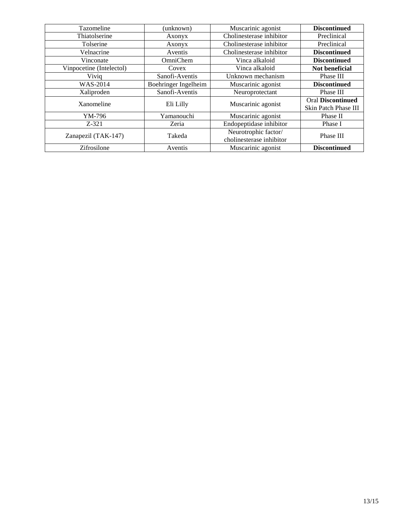| Tazomeline               | (unknown)            | Muscarinic agonist                               | <b>Discontinued</b>                              |
|--------------------------|----------------------|--------------------------------------------------|--------------------------------------------------|
| Thiatolserine            | Axonyx               | Cholinesterase inhibitor                         | Preclinical                                      |
| Tolserine                | Axonyx               | Cholinesterase inhibitor                         | Preclinical                                      |
| Velnacrine               | Aventis              | Cholinesterase inhibitor                         | <b>Discontinued</b>                              |
| Vinconate                | OmniChem             | Vinca alkaloid                                   | <b>Discontinued</b>                              |
| Vinpocetine (Intelectol) | Covex                | Vinca alkaloid                                   | Not beneficial                                   |
| Viviq                    | Sanofi-Aventis       | Unknown mechanism                                | Phase III                                        |
| <b>WAS-2014</b>          | Boehringer Ingelheim | Muscarinic agonist                               | <b>Discontinued</b>                              |
| Xaliproden               | Sanofi-Aventis       | Neuroprotectant                                  | Phase III                                        |
| Xanomeline               | Eli Lilly            | Muscarinic agonist                               | <b>Oral Discontinued</b><br>Skin Patch Phase III |
| YM-796                   | Yamanouchi           | Muscarinic agonist                               | Phase II                                         |
| $Z-321$                  | Zeria                | Endopeptidase inhibitor                          | Phase I                                          |
| Zanapezil (TAK-147)      | Takeda               | Neurotrophic factor/<br>cholinesterase inhibitor | Phase III                                        |
| Zifrosilone              | Aventis              | Muscarinic agonist                               | <b>Discontinued</b>                              |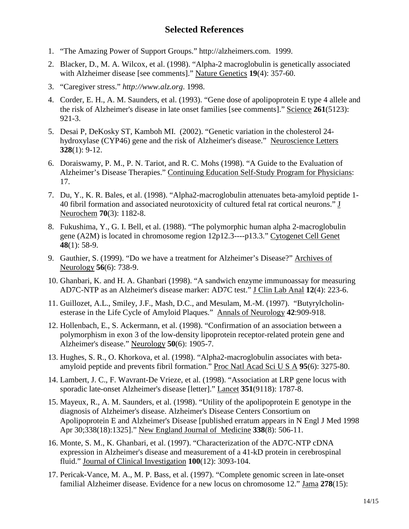# **Selected References**

- 1. "The Amazing Power of Support Groups." http://alzheimers.com. 1999.
- 2. Blacker, D., M. A. Wilcox, et al. (1998). "Alpha-2 macroglobulin is genetically associated with Alzheimer disease [see comments]." Nature Genetics **19**(4): 357-60.
- 3. "Caregiver stress." *http://www.alz.org*. 1998.
- 4. Corder, E. H., A. M. Saunders, et al. (1993). "Gene dose of apolipoprotein E type 4 allele and the risk of Alzheimer's disease in late onset families [see comments]." Science **261**(5123): 921-3.
- 5. Desai P, DeKosky ST, Kamboh MI. (2002). "Genetic variation in the cholesterol 24 hydroxylase (CYP46) gene and the risk of Alzheimer's disease." Neuroscience Letters **328**(1): 9-12.
- 6. Doraiswamy, P. M., P. N. Tariot, and R. C. Mohs (1998). "A Guide to the Evaluation of Alzheimer's Disease Therapies." Continuing Education Self-Study Program for Physicians: 17.
- 7. Du, Y., K. R. Bales, et al. (1998). "Alpha2-macroglobulin attenuates beta-amyloid peptide 1- 40 fibril formation and associated neurotoxicity of cultured fetal rat cortical neurons." J Neurochem **70**(3): 1182-8.
- 8. Fukushima, Y., G. I. Bell, et al. (1988). "The polymorphic human alpha 2-macroglobulin gene (A2M) is located in chromosome region 12p12.3----p13.3." Cytogenet Cell Genet **48**(1): 58-9.
- 9. Gauthier, S. (1999). "Do we have a treatment for Alzheimer's Disease?" Archives of Neurology **56**(6): 738-9.
- 10. Ghanbari, K. and H. A. Ghanbari (1998). "A sandwich enzyme immunoassay for measuring AD7C-NTP as an Alzheimer's disease marker: AD7C test." J Clin Lab Anal **12**(4): 223-6.
- 11. Guillozet, A.L., Smiley, J.F., Mash, D.C., and Mesulam, M.-M. (1997). "Butyrylcholinesterase in the Life Cycle of Amyloid Plaques." Annals of Neurology **42**:909-918.
- 12. Hollenbach, E., S. Ackermann, et al. (1998). "Confirmation of an association between a polymorphism in exon 3 of the low-density lipoprotein receptor-related protein gene and Alzheimer's disease." Neurology **50**(6): 1905-7.
- 13. Hughes, S. R., O. Khorkova, et al. (1998). "Alpha2-macroglobulin associates with betaamyloid peptide and prevents fibril formation." Proc Natl Acad Sci U S A **95**(6): 3275-80.
- 14. Lambert, J. C., F. Wavrant-De Vrieze, et al. (1998). "Association at LRP gene locus with sporadic late-onset Alzheimer's disease [letter]." Lancet **351**(9118): 1787-8.
- 15. Mayeux, R., A. M. Saunders, et al. (1998). "Utility of the apolipoprotein E genotype in the diagnosis of Alzheimer's disease. Alzheimer's Disease Centers Consortium on Apolipoprotein E and Alzheimer's Disease [published erratum appears in N Engl J Med 1998 Apr 30;338(18):1325]." New England Journal of Medicine **338**(8): 506-11.
- 16. Monte, S. M., K. Ghanbari, et al. (1997). "Characterization of the AD7C-NTP cDNA expression in Alzheimer's disease and measurement of a 41-kD protein in cerebrospinal fluid." Journal of Clinical Investigation **100**(12): 3093-104.
- 17. Pericak-Vance, M. A., M. P. Bass, et al. (1997). "Complete genomic screen in late-onset familial Alzheimer disease. Evidence for a new locus on chromosome 12." Jama **278**(15):